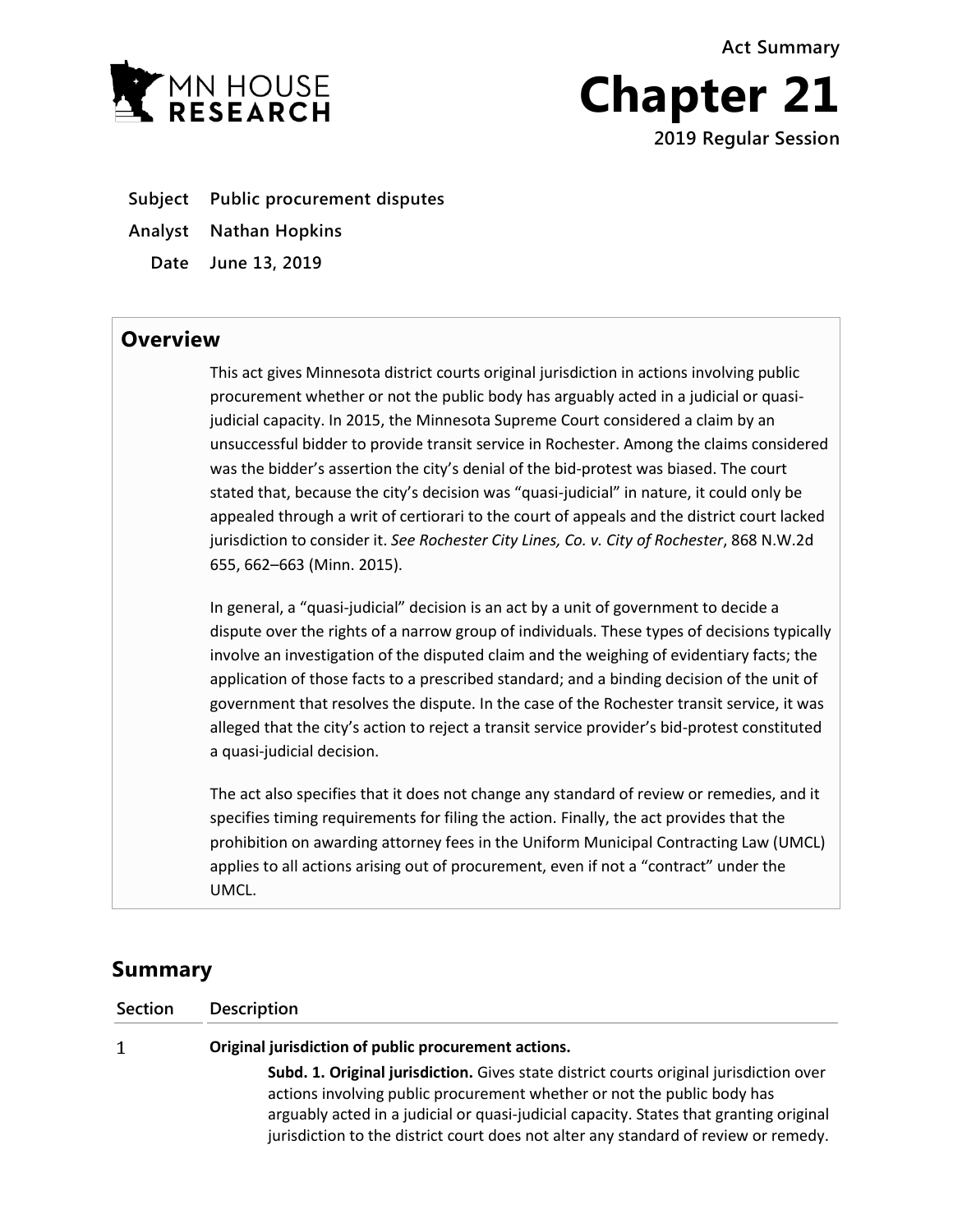**Act Summary**



**Chapter 21 2019 Regular Session**

- **Subject Public procurement disputes**
- **Analyst Nathan Hopkins**
	- **Date June 13, 2019**

## **Overview**

This act gives Minnesota district courts original jurisdiction in actions involving public procurement whether or not the public body has arguably acted in a judicial or quasijudicial capacity. In 2015, the Minnesota Supreme Court considered a claim by an unsuccessful bidder to provide transit service in Rochester. Among the claims considered was the bidder's assertion the city's denial of the bid-protest was biased. The court stated that, because the city's decision was "quasi-judicial" in nature, it could only be appealed through a writ of certiorari to the court of appeals and the district court lacked jurisdiction to consider it. *See Rochester City Lines, Co. v. City of Rochester*, 868 N.W.2d 655, 662–663 (Minn. 2015).

In general, a "quasi-judicial" decision is an act by a unit of government to decide a dispute over the rights of a narrow group of individuals. These types of decisions typically involve an investigation of the disputed claim and the weighing of evidentiary facts; the application of those facts to a prescribed standard; and a binding decision of the unit of government that resolves the dispute. In the case of the Rochester transit service, it was alleged that the city's action to reject a transit service provider's bid-protest constituted a quasi-judicial decision.

The act also specifies that it does not change any standard of review or remedies, and it specifies timing requirements for filing the action. Finally, the act provides that the prohibition on awarding attorney fees in the Uniform Municipal Contracting Law (UMCL) applies to all actions arising out of procurement, even if not a "contract" under the UMCL.

# **Summary**

**Section Description**

 $\mathbf{1}$ 

**Original jurisdiction of public procurement actions.**

**Subd. 1. Original jurisdiction.** Gives state district courts original jurisdiction over actions involving public procurement whether or not the public body has arguably acted in a judicial or quasi-judicial capacity. States that granting original jurisdiction to the district court does not alter any standard of review or remedy.